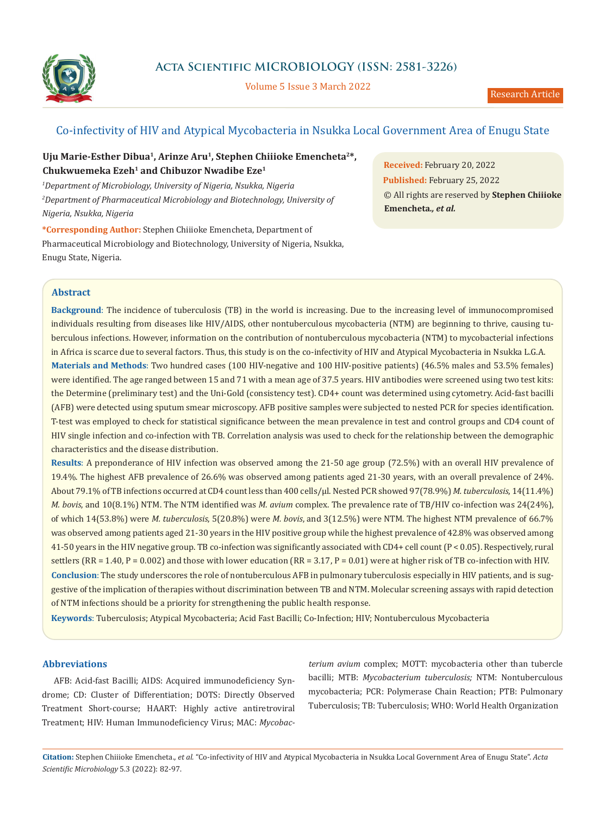

# **Acta Scientific MICROBIOLOGY (ISSN: 2581-3226)**

Volume 5 Issue 3 March 2022

# Co-infectivity of HIV and Atypical Mycobacteria in Nsukka Local Government Area of Enugu State

## **Uju Marie-Esther Dibua1, Arinze Aru1, Stephen Chiiioke Emencheta2\*, Chukwuemeka Ezeh1 and Chibuzor Nwadibe Eze1**

*1 Department of Microbiology, University of Nigeria, Nsukka, Nigeria 2 Department of Pharmaceutical Microbiology and Biotechnology, University of Nigeria, Nsukka, Nigeria*

**\*Corresponding Author:** Stephen Chiiioke Emencheta, Department of Pharmaceutical Microbiology and Biotechnology, University of Nigeria, Nsukka, Enugu State, Nigeria.

**Received:** February 20, 2022 **Published:** February 25, 2022 © All rights are reserved by **Stephen Chiiioke Emencheta***., et al.*

### **Abstract**

**Background**: The incidence of tuberculosis (TB) in the world is increasing. Due to the increasing level of immunocompromised individuals resulting from diseases like HIV/AIDS, other nontuberculous mycobacteria (NTM) are beginning to thrive, causing tuberculous infections. However, information on the contribution of nontuberculous mycobacteria (NTM) to mycobacterial infections in Africa is scarce due to several factors. Thus, this study is on the co-infectivity of HIV and Atypical Mycobacteria in Nsukka L.G.A. **Materials and Methods**: Two hundred cases (100 HIV-negative and 100 HIV-positive patients) (46.5% males and 53.5% females) were identified. The age ranged between 15 and 71 with a mean age of 37.5 years. HIV antibodies were screened using two test kits: the Determine (preliminary test) and the Uni-Gold (consistency test). CD4+ count was determined using cytometry. Acid-fast bacilli (AFB) were detected using sputum smear microscopy. AFB positive samples were subjected to nested PCR for species identification. T-test was employed to check for statistical significance between the mean prevalence in test and control groups and CD4 count of HIV single infection and co-infection with TB. Correlation analysis was used to check for the relationship between the demographic characteristics and the disease distribution.

**Results**: A preponderance of HIV infection was observed among the 21-50 age group (72.5%) with an overall HIV prevalence of 19.4%. The highest AFB prevalence of 26.6% was observed among patients aged 21-30 years, with an overall prevalence of 24%. About 79.1% of TB infections occurred at CD4 count less than 400 cells/µl. Nested PCR showed 97(78.9%) *M. tuberculosis*, 14(11.4%) *M. bovis*, and 10(8.1%) NTM. The NTM identified was *M. avium* complex. The prevalence rate of TB/HIV co-infection was 24(24%), of which 14(53.8%) were *M. tuberculosis*, 5(20.8%) were *M. bovis*, and 3(12.5%) were NTM. The highest NTM prevalence of 66.7% was observed among patients aged 21-30 years in the HIV positive group while the highest prevalence of 42.8% was observed among 41-50 years in the HIV negative group. TB co-infection was significantly associated with CD4+ cell count (P < 0.05). Respectively, rural settlers (RR = 1.40, P = 0.002) and those with lower education (RR = 3.17, P = 0.01) were at higher risk of TB co-infection with HIV. **Conclusion**: The study underscores the role of nontuberculous AFB in pulmonary tuberculosis especially in HIV patients, and is suggestive of the implication of therapies without discrimination between TB and NTM. Molecular screening assays with rapid detection of NTM infections should be a priority for strengthening the public health response.

**Keywords**: Tuberculosis; Atypical Mycobacteria; Acid Fast Bacilli; Co-Infection; HIV; Nontuberculous Mycobacteria

### **Abbreviations**

AFB: Acid-fast Bacilli; AIDS: Acquired immunodeficiency Syndrome; CD: Cluster of Differentiation; DOTS: Directly Observed Treatment Short-course; HAART: Highly active antiretroviral Treatment; HIV: Human Immunodeficiency Virus; MAC: *Mycobac-*

*terium avium* complex; MOTT: mycobacteria other than tubercle bacilli; MTB: *Mycobacterium tuberculosis;* NTM: Nontuberculous mycobacteria; PCR: Polymerase Chain Reaction; PTB: Pulmonary Tuberculosis; TB: Tuberculosis; WHO: World Health Organization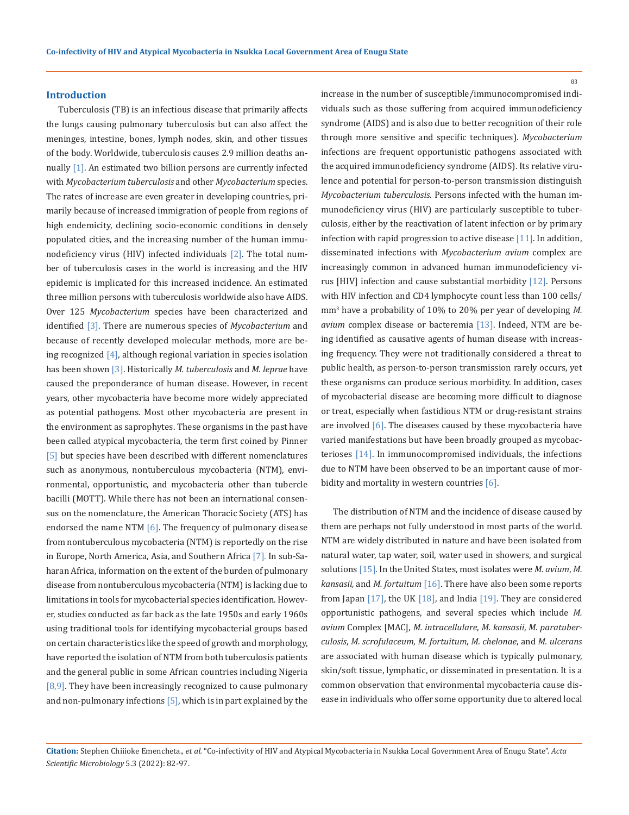#### **Introduction**

Tuberculosis (TB) is an infectious disease that primarily affects the lungs causing pulmonary tuberculosis but can also affect the meninges, intestine, bones, lymph nodes, skin, and other tissues of the body. Worldwide, tuberculosis causes 2.9 million deaths annually [1]. An estimated two billion persons are currently infected with *Mycobacterium tuberculosis* and other *Mycobacterium* species. The rates of increase are even greater in developing countries, primarily because of increased immigration of people from regions of high endemicity, declining socio-economic conditions in densely populated cities, and the increasing number of the human immunodeficiency virus (HIV) infected individuals [2]. The total number of tuberculosis cases in the world is increasing and the HIV epidemic is implicated for this increased incidence. An estimated three million persons with tuberculosis worldwide also have AIDS. Over 125 *Mycobacterium* species have been characterized and identified [3]. There are numerous species of *Mycobacterium* and because of recently developed molecular methods, more are being recognized [4], although regional variation in species isolation has been shown [3]. Historically *M. tuberculosis* and *M. leprae* have caused the preponderance of human disease. However, in recent years, other mycobacteria have become more widely appreciated as potential pathogens. Most other mycobacteria are present in the environment as saprophytes. These organisms in the past have been called atypical mycobacteria, the term first coined by Pinner [5] but species have been described with different nomenclatures such as anonymous, nontuberculous mycobacteria (NTM), environmental, opportunistic, and mycobacteria other than tubercle bacilli (MOTT). While there has not been an international consensus on the nomenclature, the American Thoracic Society (ATS) has endorsed the name NTM [6]. The frequency of pulmonary disease from nontuberculous mycobacteria (NTM) is reportedly on the rise in Europe, North America, Asia, and Southern Africa [7]. In sub-Saharan Africa, information on the extent of the burden of pulmonary disease from nontuberculous mycobacteria (NTM) is lacking due to limitations in tools for mycobacterial species identification. However, studies conducted as far back as the late 1950s and early 1960s using traditional tools for identifying mycobacterial groups based on certain characteristics like the speed of growth and morphology, have reported the isolation of NTM from both tuberculosis patients and the general public in some African countries including Nigeria [8,9]. They have been increasingly recognized to cause pulmonary and non-pulmonary infections [5], which is in part explained by the

increase in the number of susceptible/immunocompromised individuals such as those suffering from acquired immunodeficiency syndrome (AIDS) and is also due to better recognition of their role through more sensitive and specific techniques). *Mycobacterium* infections are frequent opportunistic pathogens associated with the acquired immunodeficiency syndrome (AIDS). Its relative virulence and potential for person-to-person transmission distinguish *Mycobacterium tuberculosis*. Persons infected with the human immunodeficiency virus (HIV) are particularly susceptible to tuberculosis, either by the reactivation of latent infection or by primary infection with rapid progression to active disease [11]. In addition, disseminated infections with *Mycobacterium avium* complex are increasingly common in advanced human immunodeficiency virus [HIV] infection and cause substantial morbidity [12]. Persons with HIV infection and CD4 lymphocyte count less than 100 cells/ mm<sup>3</sup> have a probability of 10% to 20% per year of developing *M. avium* complex disease or bacteremia [13]. Indeed, NTM are being identified as causative agents of human disease with increasing frequency. They were not traditionally considered a threat to public health, as person-to-person transmission rarely occurs, yet these organisms can produce serious morbidity. In addition, cases of mycobacterial disease are becoming more difficult to diagnose or treat, especially when fastidious NTM or drug-resistant strains are involved  $[6]$ . The diseases caused by these mycobacteria have varied manifestations but have been broadly grouped as mycobacterioses [14]. In immunocompromised individuals, the infections due to NTM have been observed to be an important cause of morbidity and mortality in western countries [6].

The distribution of NTM and the incidence of disease caused by them are perhaps not fully understood in most parts of the world. NTM are widely distributed in nature and have been isolated from natural water, tap water, soil, water used in showers, and surgical solutions [15]. In the United States, most isolates were *M. avium*, *M. kansasii,* and *M. fortuitum* [16]. There have also been some reports from Japan  $[17]$ , the UK  $[18]$ , and India  $[19]$ . They are considered opportunistic pathogens, and several species which include *M. avium* Complex [MAC], *M. intracellulare*, *M. kansasii*, *M. paratuberculosis*, *M. scrofulaceum*, *M. fortuitum*, *M. chelonae*, and *M. ulcerans* are associated with human disease which is typically pulmonary, skin/soft tissue, lymphatic, or disseminated in presentation. It is a common observation that environmental mycobacteria cause disease in individuals who offer some opportunity due to altered local

**Citation:** Stephen Chiiioke Emencheta.*, et al.* "Co-infectivity of HIV and Atypical Mycobacteria in Nsukka Local Government Area of Enugu State". *Acta Scientific Microbiology* 5.3 (2022): 82-97.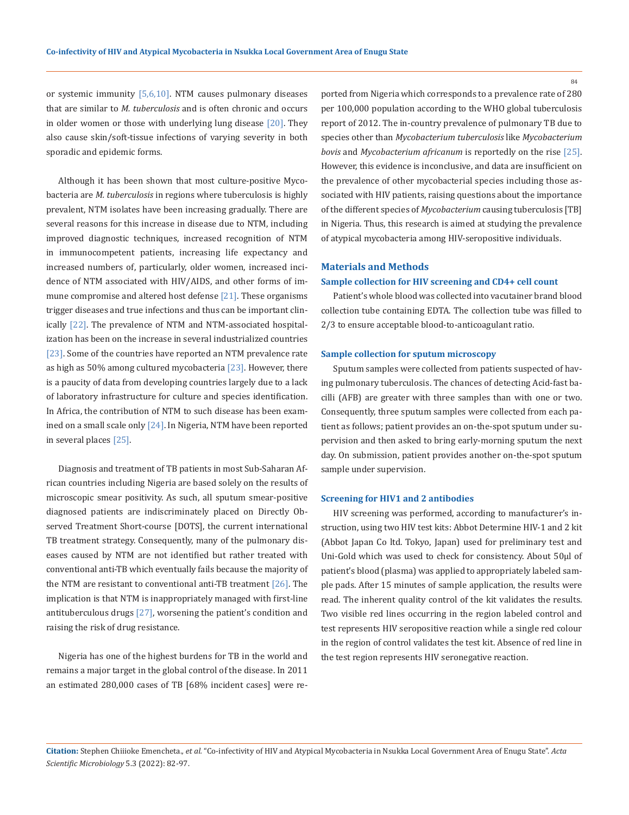or systemic immunity [5,6,10]. NTM causes pulmonary diseases that are similar to *M. tuberculosis* and is often chronic and occurs in older women or those with underlying lung disease  $[20]$ . They also cause skin/soft-tissue infections of varying severity in both sporadic and epidemic forms.

Although it has been shown that most culture-positive Mycobacteria are *M. tuberculosis* in regions where tuberculosis is highly prevalent, NTM isolates have been increasing gradually. There are several reasons for this increase in disease due to NTM, including improved diagnostic techniques, increased recognition of NTM in immunocompetent patients, increasing life expectancy and increased numbers of, particularly, older women, increased incidence of NTM associated with HIV/AIDS, and other forms of immune compromise and altered host defense [21]. These organisms trigger diseases and true infections and thus can be important clinically [22]. The prevalence of NTM and NTM-associated hospitalization has been on the increase in several industrialized countries [23]. Some of the countries have reported an NTM prevalence rate as high as 50% among cultured mycobacteria [23]. However, there is a paucity of data from developing countries largely due to a lack of laboratory infrastructure for culture and species identification. In Africa, the contribution of NTM to such disease has been examined on a small scale only [24]. In Nigeria, NTM have been reported in several places [25].

Diagnosis and treatment of TB patients in most Sub-Saharan African countries including Nigeria are based solely on the results of microscopic smear positivity. As such, all sputum smear-positive diagnosed patients are indiscriminately placed on Directly Observed Treatment Short-course [DOTS], the current international TB treatment strategy. Consequently, many of the pulmonary diseases caused by NTM are not identified but rather treated with conventional anti-TB which eventually fails because the majority of the NTM are resistant to conventional anti-TB treatment  $[26]$ . The implication is that NTM is inappropriately managed with first-line antituberculous drugs [27], worsening the patient's condition and raising the risk of drug resistance.

Nigeria has one of the highest burdens for TB in the world and remains a major target in the global control of the disease. In 2011 an estimated 280,000 cases of TB [68% incident cases] were reported from Nigeria which corresponds to a prevalence rate of 280 per 100,000 population according to the WHO global tuberculosis report of 2012. The in-country prevalence of pulmonary TB due to species other than *Mycobacterium tuberculosis* like *Mycobacterium bovis* and *Mycobacterium africanum* is reportedly on the rise [25]. However, this evidence is inconclusive, and data are insufficient on the prevalence of other mycobacterial species including those associated with HIV patients, raising questions about the importance of the different species of *Mycobacterium* causing tuberculosis [TB] in Nigeria. Thus, this research is aimed at studying the prevalence of atypical mycobacteria among HIV-seropositive individuals.

#### **Materials and Methods**

#### **Sample collection for HIV screening and CD4+ cell count**

Patient's whole blood was collected into vacutainer brand blood collection tube containing EDTA. The collection tube was filled to 2/3 to ensure acceptable blood-to-anticoagulant ratio.

#### **Sample collection for sputum microscopy**

Sputum samples were collected from patients suspected of having pulmonary tuberculosis. The chances of detecting Acid-fast bacilli (AFB) are greater with three samples than with one or two. Consequently, three sputum samples were collected from each patient as follows; patient provides an on-the-spot sputum under supervision and then asked to bring early-morning sputum the next day. On submission, patient provides another on-the-spot sputum sample under supervision.

#### **Screening for HIV1 and 2 antibodies**

HIV screening was performed, according to manufacturer's instruction, using two HIV test kits: Abbot Determine HIV-1 and 2 kit (Abbot Japan Co ltd. Tokyo, Japan) used for preliminary test and Uni-Gold which was used to check for consistency. About 50μl of patient's blood (plasma) was applied to appropriately labeled sample pads. After 15 minutes of sample application, the results were read. The inherent quality control of the kit validates the results. Two visible red lines occurring in the region labeled control and test represents HIV seropositive reaction while a single red colour in the region of control validates the test kit. Absence of red line in the test region represents HIV seronegative reaction.

**Citation:** Stephen Chiiioke Emencheta.*, et al.* "Co-infectivity of HIV and Atypical Mycobacteria in Nsukka Local Government Area of Enugu State". *Acta Scientific Microbiology* 5.3 (2022): 82-97.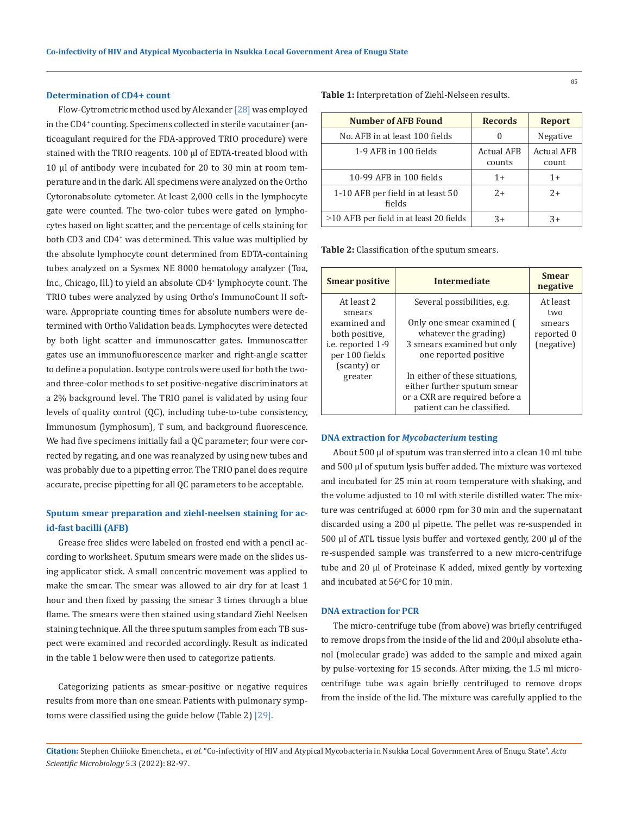#### **Determination of CD4+ count**

Flow-Cytrometric method used by Alexander [28] was employed in the CD4+ counting. Specimens collected in sterile vacutainer (anticoagulant required for the FDA-approved TRIO procedure) were stained with the TRIO reagents. 100 μl of EDTA-treated blood with 10 μl of antibody were incubated for 20 to 30 min at room temperature and in the dark. All specimens were analyzed on the Ortho Cytoronabsolute cytometer. At least 2,000 cells in the lymphocyte gate were counted. The two-color tubes were gated on lymphocytes based on light scatter, and the percentage of cells staining for both CD3 and CD4+ was determined. This value was multiplied by the absolute lymphocyte count determined from EDTA-containing tubes analyzed on a Sysmex NE 8000 hematology analyzer (Toa, Inc., Chicago, Ill.) to yield an absolute CD4+ lymphocyte count. The TRIO tubes were analyzed by using Ortho's ImmunoCount II software. Appropriate counting times for absolute numbers were determined with Ortho Validation beads. Lymphocytes were detected by both light scatter and immunoscatter gates. Immunoscatter gates use an immunofluorescence marker and right-angle scatter to define a population. Isotype controls were used for both the twoand three-color methods to set positive-negative discriminators at a 2% background level. The TRIO panel is validated by using four levels of quality control (QC), including tube-to-tube consistency, Immunosum (lymphosum), T sum, and background fluorescence. We had five specimens initially fail a QC parameter; four were corrected by regating, and one was reanalyzed by using new tubes and was probably due to a pipetting error. The TRIO panel does require accurate, precise pipetting for all QC parameters to be acceptable.

### **Sputum smear preparation and ziehl-neelsen staining for acid-fast bacilli (AFB)**

Grease free slides were labeled on frosted end with a pencil according to worksheet. Sputum smears were made on the slides using applicator stick. A small concentric movement was applied to make the smear. The smear was allowed to air dry for at least 1 hour and then fixed by passing the smear 3 times through a blue flame. The smears were then stained using standard Ziehl Neelsen staining technique. All the three sputum samples from each TB suspect were examined and recorded accordingly. Result as indicated in the table 1 below were then used to categorize patients.

Categorizing patients as smear-positive or negative requires results from more than one smear. Patients with pulmonary symptoms were classified using the guide below (Table 2) [29].

**Table 1:** Interpretation of Ziehl-Nelseen results.

| <b>Number of AFB Found</b>                  | <b>Records</b>              | <b>Report</b>              |
|---------------------------------------------|-----------------------------|----------------------------|
| No. AFB in at least 100 fields              |                             | Negative                   |
| 1-9 AFB in 100 fields                       | <b>Actual AFB</b><br>counts | <b>Actual AFB</b><br>count |
| 10-99 AFB in 100 fields                     | $1 +$                       | $1+$                       |
| 1-10 AFB per field in at least 50<br>fields | $2+$                        | $2+$                       |
| $>10$ AFB per field in at least 20 fields   | $3+$                        | $3+$                       |

**Table 2:** Classification of the sputum smears.

| <b>Intermediate</b>                                           | <b>Smear</b><br>negative                                                                   |
|---------------------------------------------------------------|--------------------------------------------------------------------------------------------|
| Several possibilities, e.g.                                   | At least<br>two                                                                            |
| Only one smear examined (<br>whatever the grading)            | smears<br>reported 0<br>(negative)                                                         |
| one reported positive                                         |                                                                                            |
| either further sputum smear<br>or a CXR are required before a |                                                                                            |
|                                                               | 3 smears examined but only<br>In either of these situations,<br>patient can be classified. |

#### **DNA extraction for** *Mycobacterium* **testing**

About 500 µl of sputum was transferred into a clean 10 ml tube and 500 µl of sputum lysis buffer added. The mixture was vortexed and incubated for 25 min at room temperature with shaking, and the volume adjusted to 10 ml with sterile distilled water. The mixture was centrifuged at 6000 rpm for 30 min and the supernatant discarded using a 200 µl pipette. The pellet was re-suspended in 500 µl of ATL tissue lysis buffer and vortexed gently, 200 µl of the re-suspended sample was transferred to a new micro-centrifuge tube and 20 µl of Proteinase K added, mixed gently by vortexing and incubated at  $56^{\circ}$ C for  $10$  min.

#### **DNA extraction for PCR**

The micro-centrifuge tube (from above) was briefly centrifuged to remove drops from the inside of the lid and 200µl absolute ethanol (molecular grade) was added to the sample and mixed again by pulse-vortexing for 15 seconds. After mixing, the 1.5 ml microcentrifuge tube was again briefly centrifuged to remove drops from the inside of the lid. The mixture was carefully applied to the

**Citation:** Stephen Chiiioke Emencheta.*, et al.* "Co-infectivity of HIV and Atypical Mycobacteria in Nsukka Local Government Area of Enugu State". *Acta Scientific Microbiology* 5.3 (2022): 82-97.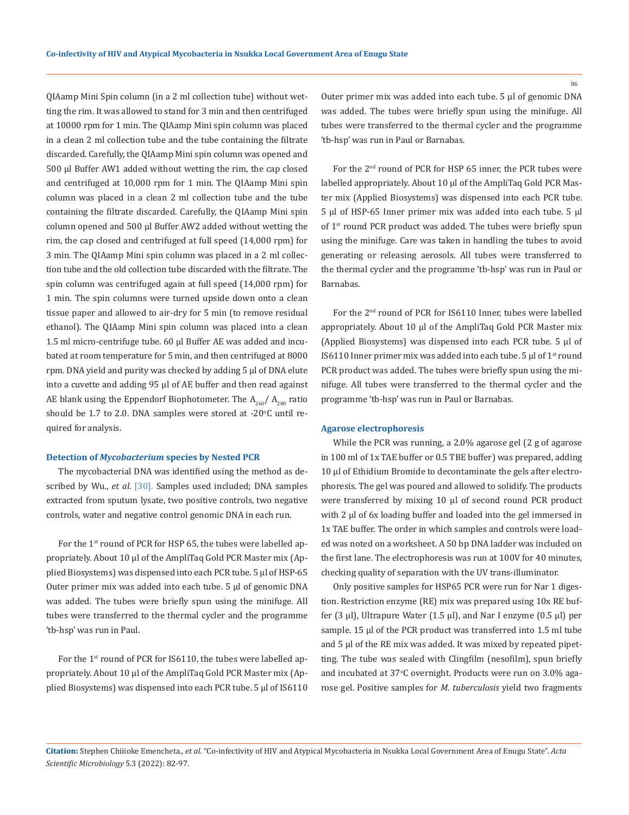QIAamp Mini Spin column (in a 2 ml collection tube) without wetting the rim. It was allowed to stand for 3 min and then centrifuged at 10000 rpm for 1 min. The QIAamp Mini spin column was placed in a clean 2 ml collection tube and the tube containing the filtrate discarded. Carefully, the QIAamp Mini spin column was opened and 500 µl Buffer AW1 added without wetting the rim, the cap closed and centrifuged at 10,000 rpm for 1 min. The QIAamp Mini spin column was placed in a clean 2 ml collection tube and the tube containing the filtrate discarded. Carefully, the QIAamp Mini spin column opened and 500 µl Buffer AW2 added without wetting the rim, the cap closed and centrifuged at full speed (14,000 rpm) for 3 min. The QIAamp Mini spin column was placed in a 2 ml collection tube and the old collection tube discarded with the filtrate. The spin column was centrifuged again at full speed (14,000 rpm) for 1 min. The spin columns were turned upside down onto a clean tissue paper and allowed to air-dry for 5 min (to remove residual ethanol). The QIAamp Mini spin column was placed into a clean 1.5 ml micro-centrifuge tube. 60 µl Buffer AE was added and incubated at room temperature for 5 min, and then centrifuged at 8000 rpm. DNA yield and purity was checked by adding 5 µl of DNA elute into a cuvette and adding 95 µl of AE buffer and then read against AE blank using the Eppendorf Biophotometer. The  $A_{260}/A_{280}$  ratio should be  $1.7$  to  $2.0$ . DNA samples were stored at -20 $\degree$ C until required for analysis.

#### **Detection of** *Mycobacterium* **species by Nested PCR**

The mycobacterial DNA was identified using the method as described by Wu., *et al.* [30]. Samples used included; DNA samples extracted from sputum lysate, two positive controls, two negative controls, water and negative control genomic DNA in each run.

For the 1<sup>st</sup> round of PCR for HSP 65, the tubes were labelled appropriately. About 10 µl of the AmpliTaq Gold PCR Master mix (Applied Biosystems) was dispensed into each PCR tube. 5 µl of HSP-65 Outer primer mix was added into each tube. 5 µl of genomic DNA was added. The tubes were briefly spun using the minifuge. All tubes were transferred to the thermal cycler and the programme 'tb-hsp' was run in Paul.

For the 1<sup>st</sup> round of PCR for IS6110, the tubes were labelled appropriately. About 10 µl of the AmpliTaq Gold PCR Master mix (Applied Biosystems) was dispensed into each PCR tube. 5 µl of IS6110 Outer primer mix was added into each tube. 5 µl of genomic DNA was added. The tubes were briefly spun using the minifuge. All tubes were transferred to the thermal cycler and the programme 'tb-hsp' was run in Paul or Barnabas.

For the 2nd round of PCR for HSP 65 inner, the PCR tubes were labelled appropriately. About 10 µl of the AmpliTaq Gold PCR Master mix (Applied Biosystems) was dispensed into each PCR tube. 5 µl of HSP-65 Inner primer mix was added into each tube. 5 µl of 1<sup>st</sup> round PCR product was added. The tubes were briefly spun using the minifuge. Care was taken in handling the tubes to avoid generating or releasing aerosols. All tubes were transferred to the thermal cycler and the programme 'tb-hsp' was run in Paul or Barnabas.

For the 2nd round of PCR for IS6110 Inner, tubes were labelled appropriately. About 10 µl of the AmpliTaq Gold PCR Master mix (Applied Biosystems) was dispensed into each PCR tube.  $5 \mu l$  of IS6110 Inner primer mix was added into each tube. 5  $\mu$ l of 1<sup>st</sup> round PCR product was added. The tubes were briefly spun using the minifuge. All tubes were transferred to the thermal cycler and the programme 'tb-hsp' was run in Paul or Barnabas.

#### **Agarose electrophoresis**

While the PCR was running, a 2.0% agarose gel (2 g of agarose in 100 ml of 1x TAE buffer or 0.5 TBE buffer) was prepared, adding 10 µl of Ethidium Bromide to decontaminate the gels after electrophoresis. The gel was poured and allowed to solidify. The products were transferred by mixing 10 µl of second round PCR product with 2 µl of 6x loading buffer and loaded into the gel immersed in 1x TAE buffer. The order in which samples and controls were loaded was noted on a worksheet. A 50 bp DNA ladder was included on the first lane. The electrophoresis was run at 100V for 40 minutes, checking quality of separation with the UV trans-illuminator.

Only positive samples for HSP65 PCR were run for Nar 1 digestion. Restriction enzyme (RE) mix was prepared using 10x RE buffer (3  $\mu$ l), Ultrapure Water (1.5  $\mu$ l), and Nar I enzyme (0.5  $\mu$ l) per sample. 15 µl of the PCR product was transferred into 1.5 ml tube and 5 µl of the RE mix was added. It was mixed by repeated pipetting. The tube was sealed with Clingfilm (nesofilm), spun briefly and incubated at 37<sup>o</sup> C overnight. Products were run on 3.0% agarose gel. Positive samples for *M. tuberculosis* yield two fragments

**Citation:** Stephen Chiiioke Emencheta.*, et al.* "Co-infectivity of HIV and Atypical Mycobacteria in Nsukka Local Government Area of Enugu State". *Acta Scientific Microbiology* 5.3 (2022): 82-97.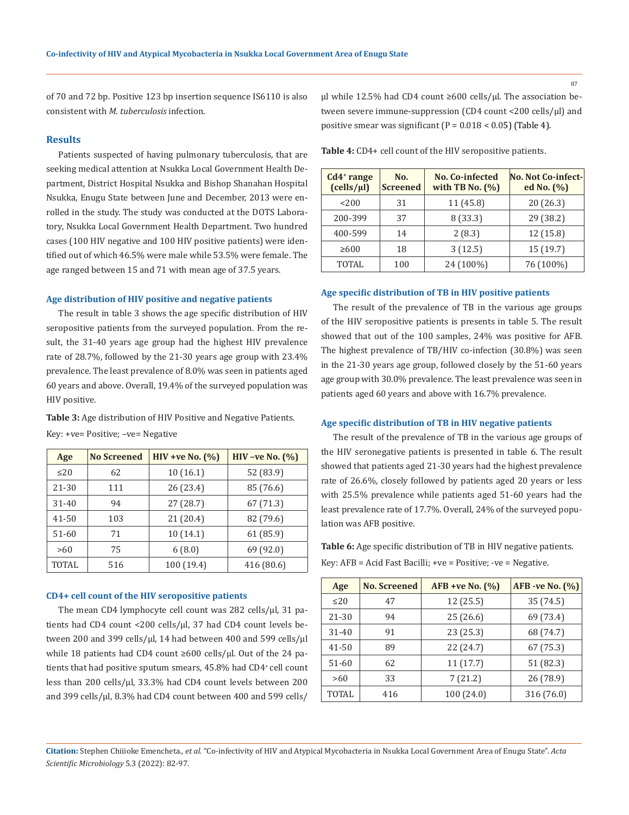87

of 70 and 72 bp. Positive 123 bp insertion sequence IS6110 is also consistent with *M. tuberculosis* infection.

#### **Results**

Patients suspected of having pulmonary tuberculosis, that are seeking medical attention at Nsukka Local Government Health Department, District Hospital Nsukka and Bishop Shanahan Hospital Nsukka, Enugu State between June and December, 2013 were enrolled in the study. The study was conducted at the DOTS Laboratory, Nsukka Local Government Health Department. Two hundred cases (100 HIV negative and 100 HIV positive patients) were identified out of which 46.5% were male while 53.5% were female. The age ranged between 15 and 71 with mean age of 37.5 years.

#### **Age distribution of HIV positive and negative patients**

The result in table 3 shows the age specific distribution of HIV seropositive patients from the surveyed population. From the result, the 31-40 years age group had the highest HIV prevalence rate of 28.7%, followed by the 21-30 years age group with 23.4% prevalence. The least prevalence of 8.0% was seen in patients aged 60 years and above. Overall, 19.4% of the surveyed population was HIV positive.

**Table 3:** Age distribution of HIV Positive and Negative Patients.

Key: +ve= Positive; –ve= Negative

| Age          | <b>No Screened</b> | $HIV + ve No. (%)$ | HIV -ve No. $(\%)$ |
|--------------|--------------------|--------------------|--------------------|
| $\leq$ 20    | 62                 | 10(16.1)           | 52 (83.9)          |
| 21-30        | 111                | 26 (23.4)          | 85 (76.6)          |
| $31 - 40$    | 94                 | 27(28.7)           | 67 (71.3)          |
| $41 - 50$    | 103                | 21(20.4)           | 82 (79.6)          |
| $51 - 60$    | 71                 | 10(14.1)           | 61 (85.9)          |
| >60          | 75                 | 6(8.0)             | 69 (92.0)          |
| <b>TOTAL</b> | 516                | 100 (19.4)         | 416 (80.6)         |

#### **CD4+ cell count of the HIV seropositive patients**

The mean CD4 lymphocyte cell count was 282 cells/µl, 31 patients had CD4 count <200 cells/ul, 37 had CD4 count levels between 200 and 399 cells/ $\mu$ l, 14 had between 400 and 599 cells/ $\mu$ l while 18 patients had CD4 count ≥600 cells/µl. Out of the 24 patients that had positive sputum smears, 45.8% had CD4+ cell count less than 200 cells/µl, 33.3% had CD4 count levels between 200 and 399 cells/µl, 8.3% had CD4 count between 400 and 599 cells/

µl while 12.5% had CD4 count ≥600 cells/µl. The association between severe immune-suppression (CD4 count <200 cells/µl) and positive smear was significant  $(P = 0.018 < 0.05)$  (Table 4).

**Table 4:** CD4+ cell count of the HIV seropositive patients.

| $Cd4$ range<br>(cells/µl) | No.<br><b>Screened</b> | No. Co-infected<br>with TB No. $(\%)$ | No. Not Co-infect-<br>ed No. (%) |
|---------------------------|------------------------|---------------------------------------|----------------------------------|
| 200                       | 31                     | 11 (45.8)                             | 20(26.3)                         |
| 200-399                   | 37                     | 8(33.3)                               | 29 (38.2)                        |
| 400-599                   | 14                     | 2(8.3)                                | 12 (15.8)                        |
| $\geq 600$                | 18                     | 3(12.5)                               | 15 (19.7)                        |
| <b>TOTAL</b>              | 100                    | 24 (100%)                             | 76 (100%)                        |

#### **Age specific distribution of TB in HIV positive patients**

The result of the prevalence of TB in the various age groups of the HIV seropositive patients is presents in table 5. The result showed that out of the 100 samples, 24% was positive for AFB. The highest prevalence of TB/HIV co-infection (30.8%) was seen in the 21-30 years age group, followed closely by the 51-60 years age group with 30.0% prevalence. The least prevalence was seen in patients aged 60 years and above with 16.7% prevalence.

#### **Age specific distribution of TB in HIV negative patients**

The result of the prevalence of TB in the various age groups of the HIV seronegative patients is presented in table 6. The result showed that patients aged 21-30 years had the highest prevalence rate of 26.6%, closely followed by patients aged 20 years or less with 25.5% prevalence while patients aged 51-60 years had the least prevalence rate of 17.7%. Overall, 24% of the surveyed population was AFB positive.

**Table 6:** Age specific distribution of TB in HIV negative patients. Key: AFB = Acid Fast Bacilli; +ve = Positive; -ve = Negative.

| Age          | <b>No. Screened</b> | $AFB + ve No. (%)$ | AFB -ve No. (%) |
|--------------|---------------------|--------------------|-----------------|
| $\leq$ 20    | 47                  | 12(25.5)           | 35 (74.5)       |
| 21-30        | 94                  | 25(26.6)           | 69 (73.4)       |
| $31 - 40$    | 91                  | 23 (25.3)          | 68 (74.7)       |
| $41 - 50$    | 89                  | 22 (24.7)          | 67 (75.3)       |
| $51-60$      | 62                  | 11(17.7)           | 51 (82.3)       |
| >60          | 33                  | 7(21.2)            | 26 (78.9)       |
| <b>TOTAL</b> | 416                 | 100 (24.0)         | 316 (76.0)      |

**Citation:** Stephen Chiiioke Emencheta.*, et al.* "Co-infectivity of HIV and Atypical Mycobacteria in Nsukka Local Government Area of Enugu State". *Acta Scientific Microbiology* 5.3 (2022): 82-97.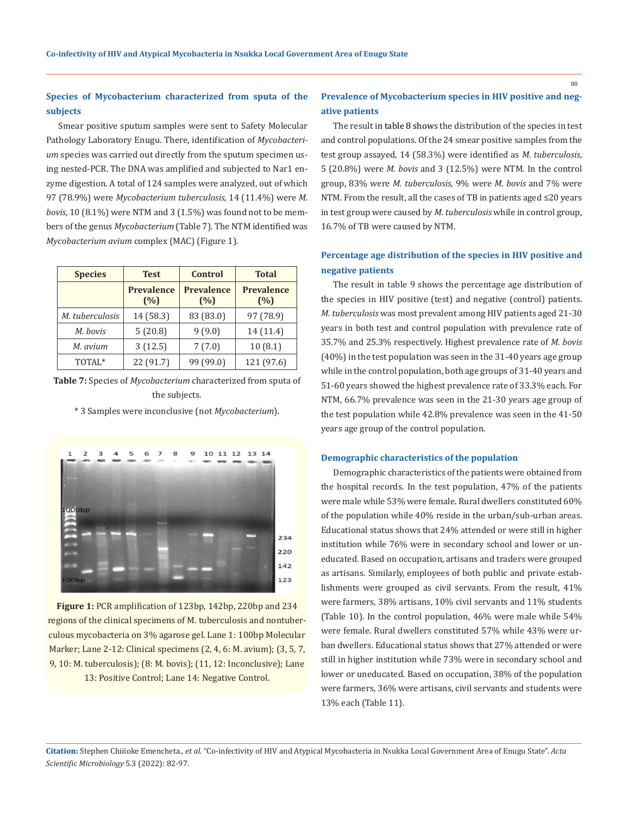## **Species of Mycobacterium characterized from sputa of the subjects**

Smear positive sputum samples were sent to Safety Molecular Pathology Laboratory Enugu. There, identification of *Mycobacterium* species was carried out directly from the sputum specimen using nested-PCR. The DNA was amplified and subjected to Nar1 enzyme digestion. A total of 124 samples were analyzed, out of which 97 (78.9%) were *Mycobacterium tuberculosis*, 14 (11.4%) were *M. bovis*, 10 (8.1%) were NTM and 3 (1.5%) was found not to be members of the genus *Mycobacterium* (Table 7). The NTM identified was *Mycobacterium avium* complex (MAC) (Figure 1).

| <b>Species</b>  | <b>Test</b>              | <b>Control</b>           | <b>Total</b>             |
|-----------------|--------------------------|--------------------------|--------------------------|
|                 | <b>Prevalence</b><br>(%) | <b>Prevalence</b><br>(%) | <b>Prevalence</b><br>(%) |
| M. tuberculosis | 14 (58.3)                | 83 (83.0)                | 97 (78.9)                |
| M. bovis        | 5(20.8)                  | 9(9.0)                   | 14 (11.4)                |
| M. avium        | 3(12.5)                  | 7(7.0)                   | 10(8.1)                  |
| TOTAL*          | 22 (91.7)                | 99 (99.0)                | 121 (97.6)               |

**Table 7:** Species of *Mycobacterium* characterized from sputa of the subjects.

\* 3 Samples were inconclusive (not *Mycobacterium*).



**Figure 1:** PCR amplification of 123bp, 142bp, 220bp and 234 regions of the clinical specimens of M. tuberculosis and nontuberculous mycobacteria on 3% agarose gel. Lane 1: 100bp Molecular Marker; Lane 2-12: Clinical specimens (2, 4, 6: M. avium); (3, 5, 7, 9, 10: M. tuberculosis); (8: M. bovis); (11, 12: Inconclusive); Lane 13: Positive Control; Lane 14: Negative Control.

## **Prevalence of Mycobacterium species in HIV positive and negative patients**

The result in table 8 shows the distribution of the species in test and control populations. Of the 24 smear positive samples from the test group assayed, 14 (58.3%) were identified as *M. tuberculosis*, 5 (20.8%) were *M. bovis* and 3 (12.5%) were NTM. In the control group, 83% were *M. tuberculosis*, 9% were *M. bovis* and 7% were NTM. From the result, all the cases of TB in patients aged ≤20 years in test group were caused by *M. tuberculosis* while in control group, 16.7% of TB were caused by NTM.

## **Percentage age distribution of the species in HIV positive and negative patients**

The result in table 9 shows the percentage age distribution of the species in HIV positive (test) and negative (control) patients. *M. tuberculosis* was most prevalent among HIV patients aged 21-30 years in both test and control population with prevalence rate of 35.7% and 25.3% respectively. Highest prevalence rate of *M. bovis*  (40%) in the test population was seen in the 31-40 years age group while in the control population, both age groups of 31-40 years and 51-60 years showed the highest prevalence rate of 33.3% each. For NTM, 66.7% prevalence was seen in the 21-30 years age group of the test population while 42.8% prevalence was seen in the 41-50 years age group of the control population.

#### **Demographic characteristics of the population**

Demographic characteristics of the patients were obtained from the hospital records. In the test population, 47% of the patients were male while 53% were female. Rural dwellers constituted 60% of the population while 40% reside in the urban/sub-urban areas. Educational status shows that 24% attended or were still in higher institution while 76% were in secondary school and lower or uneducated. Based on occupation, artisans and traders were grouped as artisans. Similarly, employees of both public and private establishments were grouped as civil servants. From the result, 41% were farmers, 38% artisans, 10% civil servants and 11% students (Table 10). In the control population, 46% were male while 54% were female. Rural dwellers constituted 57% while 43% were urban dwellers. Educational status shows that 27% attended or were still in higher institution while 73% were in secondary school and lower or uneducated. Based on occupation, 38% of the population were farmers, 36% were artisans, civil servants and students were 13% each (Table 11).

**Citation:** Stephen Chiiioke Emencheta.*, et al.* "Co-infectivity of HIV and Atypical Mycobacteria in Nsukka Local Government Area of Enugu State". *Acta Scientific Microbiology* 5.3 (2022): 82-97.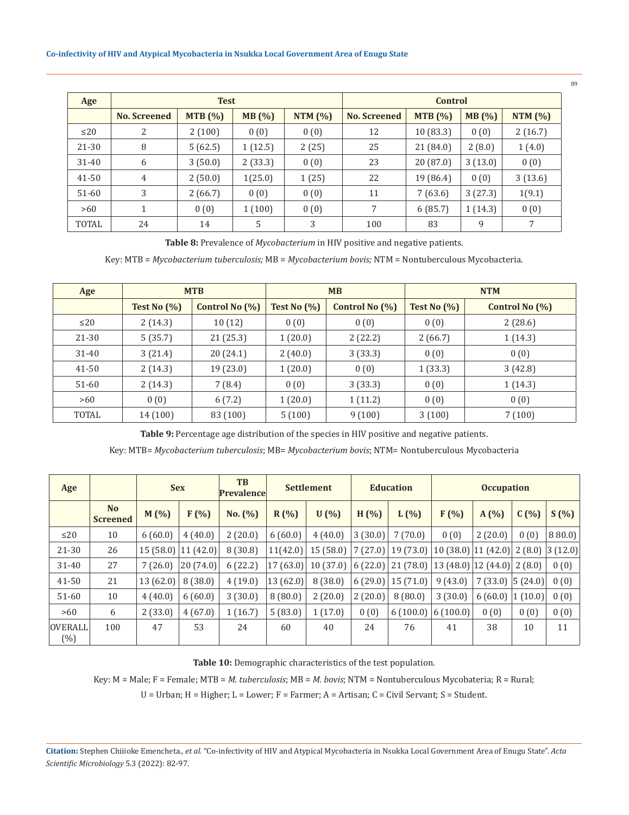| Age       |                     | <b>Test</b> |         | <b>Control</b> |              |           |         |           |
|-----------|---------------------|-------------|---------|----------------|--------------|-----------|---------|-----------|
|           | <b>No. Screened</b> | MTB (%)     | MB(%)   | NTM $(%)$      | No. Screened | MTB (%)   | MB(%)   | NTM $(%)$ |
| $\leq$ 20 | 2                   | 2(100)      | 0(0)    | 0(0)           | 12           | 10(83.3)  | 0(0)    | 2(16.7)   |
| $21 - 30$ | 8                   | 5(62.5)     | 1(12.5) | 2(25)          | 25           | 21 (84.0) | 2(8.0)  | 1(4.0)    |
| 31-40     | 6                   | 3(50.0)     | 2(33.3) | 0(0)           | 23           | 20 (87.0) | 3(13.0) | 0(0)      |
| $41 - 50$ | 4                   | 2(50.0)     | 1(25.0) | 1(25)          | 22           | 19 (86.4) | 0(0)    | 3(13.6)   |
| $51-60$   | 3                   | 2(66.7)     | 0(0)    | 0(0)           | 11           | 7(63.6)   | 3(27.3) | 1(9.1)    |
| >60       |                     | 0(0)        | 1(100)  | 0(0)           | 7            | 6(85.7)   | 1(14.3) | 0(0)      |
| TOTAL     | 24                  | 14          | 5       | 3              | 100          | 83        | 9       | 7         |

**Table 8:** Prevalence of *Mycobacterium* in HIV positive and negative patients.

Key: MTB = *Mycobacterium tuberculosis;* MB = *Mycobacterium bovis;* NTM = Nontuberculous Mycobacteria.

| Age       |                | <b>MTB</b>        |                | <b>MB</b>         | <b>NTM</b>     |                   |  |
|-----------|----------------|-------------------|----------------|-------------------|----------------|-------------------|--|
|           | Test No $(\%)$ | Control No $(\%)$ | Test No $(\%)$ | Control No $(\%)$ | Test No $(\%)$ | Control No $(\%)$ |  |
| $\leq$ 20 | 2(14.3)        | 10(12)            | 0(0)           | 0(0)              | 0(0)           | 2(28.6)           |  |
| 21-30     | 5(35.7)        | 21 (25.3)         | 1(20.0)        | 2(22.2)           | 2(66.7)        | 1(14.3)           |  |
| 31-40     | 3(21.4)        | 20 (24.1)         | 2(40.0)        | 3(33.3)           | 0(0)           | 0(0)              |  |
| 41-50     | 2(14.3)        | 19 (23.0)         | 1(20.0)        | 0(0)              | 1(33.3)        | 3(42.8)           |  |
| 51-60     | 2(14.3)        | 7(8.4)            | 0(0)           | 3(33.3)           | 0(0)           | 1(14.3)           |  |
| >60       | 0(0)           | 6(7.2)            | 1(20.0)        | 1(11.2)           | 0(0)           | 0(0)              |  |
| TOTAL     | 14 (100)       | 83 (100)          | 5(100)         | 9(100)            | 3(100)         | 7(100)            |  |

**Table 9:** Percentage age distribution of the species in HIV positive and negative patients.

Key: MTB= *Mycobacterium tuberculosis*; MB= *Mycobacterium bovis*; NTM= Nontuberculous Mycobacteria

| Age                      |                                   | <b>Sex</b> |          | <b>TB</b><br>Prevalence | <b>Settlement</b> |          | <b>Education</b><br><b>Occupation</b> |          |                        |                        |        |         |
|--------------------------|-----------------------------------|------------|----------|-------------------------|-------------------|----------|---------------------------------------|----------|------------------------|------------------------|--------|---------|
|                          | N <sub>o</sub><br><b>Screened</b> | M(%)       | F(% )    | No. (%)                 | R(%)              | U(% )    | H(%)                                  | L(%)     | F(% )                  | A(%)                   | C(%)   | S(%     |
| $\leq$ 20                | 10                                | 6(60.0)    | 4(40.0)  | 2(20.0)                 | 6(60.0)           | 4(40.0)  | 3(30.0)                               | 7(70.0)  | 0(0)                   | 2(20.0)                | 0(0)   | 880.0   |
| 21-30                    | 26                                | 15(58.0)   | 11(42.0) | 8(30.8)                 | 11(42.0)          | 15(58.0) | 7(27.0)                               | 19(73.0) | $10(38.0)$   11 (42.0) |                        | 2(8.0) | 3(12.0) |
| $31 - 40$                | 27                                | 7(26.0)    | 20(74.0) | 6(22.2)                 | 17(63.0)          | 10(37.0) | 6(22.0)                               | 21(78.0) | 13 (48.0) $ 12$ (44.0) |                        | 2(8.0) | 0(0)    |
| $41 - 50$                | 21                                | 13(62.0)   | 8(38.0)  | 4(19.0)                 | 13 (62.0)         | 8(38.0)  | 6(29.0)                               | 15(71.0) | 9(43.0)                | $7(33.0)$   $5(24.0)$  |        | 0(0)    |
| $51-60$                  | 10                                | 4(40.0)    | 6(60.0)  | 3(30.0)                 | 8(80.0)           | 2(20.0)  | 2(20.0)                               | 8(80.0)  | 3(30.0)                | $6(60.0)$   1 $(10.0)$ |        | 0(0)    |
| >60                      | 6                                 | 2(33.0)    | 4(67.0)  | 1(16.7)                 | 5(83.0)           | 1(17.0)  | 0(0)                                  | 6(100.0) | 6(100.0)               | 0(0)                   | 0(0)   | 0(0)    |
| <b>OVERALL</b><br>$(\%)$ | 100                               | 47         | 53       | 24                      | 60                | 40       | 24                                    | 76       | 41                     | 38                     | 10     | 11      |

**Table 10:** Demographic characteristics of the test population.

Key: M = Male; F = Female; MTB = *M. tuberculosis*; MB = *M. bovis*; NTM = Nontuberculous Mycobateria; R = Rural;

U = Urban; H = Higher; L = Lower; F = Farmer; A = Artisan; C = Civil Servant; S = Student.

**Citation:** Stephen Chiiioke Emencheta.*, et al.* "Co-infectivity of HIV and Atypical Mycobacteria in Nsukka Local Government Area of Enugu State". *Acta Scientific Microbiology* 5.3 (2022): 82-97.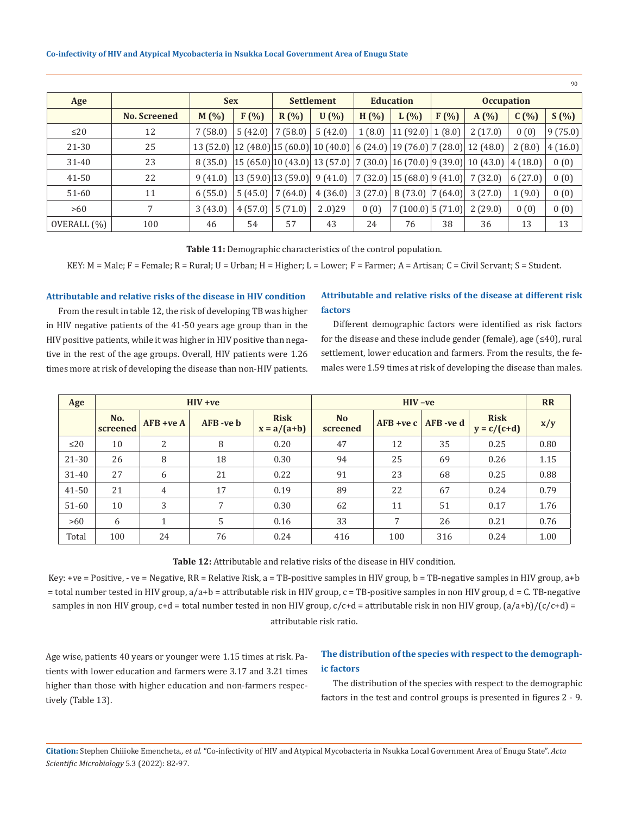|             |                     |            |         |                   |                                                                                                                                                                                                                              |                  |                                |                   |                                                                                                                                                                                            |         | -90-     |
|-------------|---------------------|------------|---------|-------------------|------------------------------------------------------------------------------------------------------------------------------------------------------------------------------------------------------------------------------|------------------|--------------------------------|-------------------|--------------------------------------------------------------------------------------------------------------------------------------------------------------------------------------------|---------|----------|
| Age         |                     | <b>Sex</b> |         | <b>Settlement</b> |                                                                                                                                                                                                                              | <b>Education</b> |                                | <b>Occupation</b> |                                                                                                                                                                                            |         |          |
|             | <b>No.</b> Screened | $M(\%)$    | $F(\%)$ | R(%)              | $U(\% )$                                                                                                                                                                                                                     | $H(\% )$         | $L(\%)$                        | $F(\%)$           | A(%)                                                                                                                                                                                       | C(%)    | $S(\% )$ |
| $\leq$ 20   | 12                  | 7(58.0)    | 5(42.0) | 7(58.0)           | 5(42.0)                                                                                                                                                                                                                      |                  | $1(8.0)$   11 (92.0)   1 (8.0) |                   | 2(17.0)                                                                                                                                                                                    | 0(0)    | 9(75.0)  |
| 21-30       | 25                  | 13 (52.0)  |         |                   | $\left  12 \left( 48.0 \right) \right  15 \left( 60.0 \right) \left  10 \left( 40.0 \right) \right  6 \left( 24.0 \right) \left  19 \left( 76.0 \right) \right  7 \left( 28.0 \right) \left  12 \left( 48.0 \right) \right $ |                  |                                |                   |                                                                                                                                                                                            | 2(8.0)  | 4(16.0)  |
| $31 - 40$   | 23                  | 8 (35.0)   |         |                   |                                                                                                                                                                                                                              |                  |                                |                   | $\left 15\left(65.0\right)\right 10\left(43.0\right)\right 13\left(57.0\right)\left 7\left(30.0\right)\right 16\left(70.0\right)\left 9\left(39.0\right)\right 10\left(43.0\right)\right $ | 4(18.0) | 0(0)     |
| 41-50       | 22                  | 9(41.0)    |         |                   | $\vert 13 \, (59.0) \vert 13 \, (59.0) \vert$ 9 (41.0) $\vert 7 \, (32.0) \vert 15 \, (68.0) \vert 9 \, (41.0) \vert$ 7 (32.0)                                                                                               |                  |                                |                   |                                                                                                                                                                                            | 6(27.0) | 0(0)     |
| 51-60       | 11                  | 6(55.0)    | 5(45.0) | 7(64.0)           | 4(36.0)                                                                                                                                                                                                                      | 3(27.0)          | $8(73.0)$  7 (64.0)            |                   | 3(27.0)                                                                                                                                                                                    | 1(9.0)  | 0(0)     |
| >60         | 7                   | 3(43.0)    | 4(57.0) | 5(71.0)           | $2.0$ ) $29$                                                                                                                                                                                                                 | 0(0)             | 7(100.0) 5(71.0)               |                   | 2(29.0)                                                                                                                                                                                    | 0(0)    | 0(0)     |
| OVERALL (%) | 100                 | 46         | 54      | 57                | 43                                                                                                                                                                                                                           | 24               | 76                             | 38                | 36                                                                                                                                                                                         | 13      | 13       |

**Table 11:** Demographic characteristics of the control population.

KEY: M = Male; F = Female; R = Rural; U = Urban; H = Higher; L = Lower; F = Farmer; A = Artisan; C = Civil Servant; S = Student.

#### **Attributable and relative risks of the disease in HIV condition**

From the result in table 12, the risk of developing TB was higher in HIV negative patients of the 41-50 years age group than in the HIV positive patients, while it was higher in HIV positive than negative in the rest of the age groups. Overall, HIV patients were 1.26 times more at risk of developing the disease than non-HIV patients.

### **Attributable and relative risks of the disease at different risk factors**

Different demographic factors were identified as risk factors for the disease and these include gender (female), age (≤40), rural settlement, lower education and farmers. From the results, the females were 1.59 times at risk of developing the disease than males.

| Age       |                 |                | $HIV + ve$ |                              | $HIV -ve$             |             |            |                              | <b>RR</b> |
|-----------|-----------------|----------------|------------|------------------------------|-----------------------|-------------|------------|------------------------------|-----------|
|           | No.<br>screened | $AFB + ve A$   | AFB-ve b   | <b>Risk</b><br>$x = a/(a+b)$ | <b>No</b><br>screened | $AFB + veC$ | AFB - ve d | <b>Risk</b><br>$y = c/(c+d)$ | x/y       |
| $\leq$ 20 | 10              | 2              | 8          | 0.20                         | 47                    | 12          | 35         | 0.25                         | 0.80      |
| 21-30     | 26              | 8              | 18         | 0.30                         | 94                    | 25          | 69         | 0.26                         | 1.15      |
| $31 - 40$ | 27              | 6              | 21         | 0.22                         | 91                    | 23          | 68         | 0.25                         | 0.88      |
| 41-50     | 21              | $\overline{4}$ | 17         | 0.19                         | 89                    | 22          | 67         | 0.24                         | 0.79      |
| $51 - 60$ | 10              | 3              | 7          | 0.30                         | 62                    | 11          | 51         | 0.17                         | 1.76      |
| >60       | 6               |                | 5          | 0.16                         | 33                    | 7           | 26         | 0.21                         | 0.76      |
| Total     | 100             | 24             | 76         | 0.24                         | 416                   | 100         | 316        | 0.24                         | 1.00      |

**Table 12:** Attributable and relative risks of the disease in HIV condition.

Key: +ve = Positive, - ve = Negative, RR = Relative Risk, a = TB-positive samples in HIV group, b = TB-negative samples in HIV group, a+b = total number tested in HIV group, a/a+b = attributable risk in HIV group, c = TB-positive samples in non HIV group, d = C. TB-negative samples in non HIV group,  $c+d =$  total number tested in non HIV group,  $c/c+d =$  attributable risk in non HIV group,  $(a/a+b)/(c/c+d) =$ attributable risk ratio.

Age wise, patients 40 years or younger were 1.15 times at risk. Patients with lower education and farmers were 3.17 and 3.21 times higher than those with higher education and non-farmers respectively (Table 13).

## **The distribution of the species with respect to the demographic factors**

The distribution of the species with respect to the demographic factors in the test and control groups is presented in figures 2 - 9.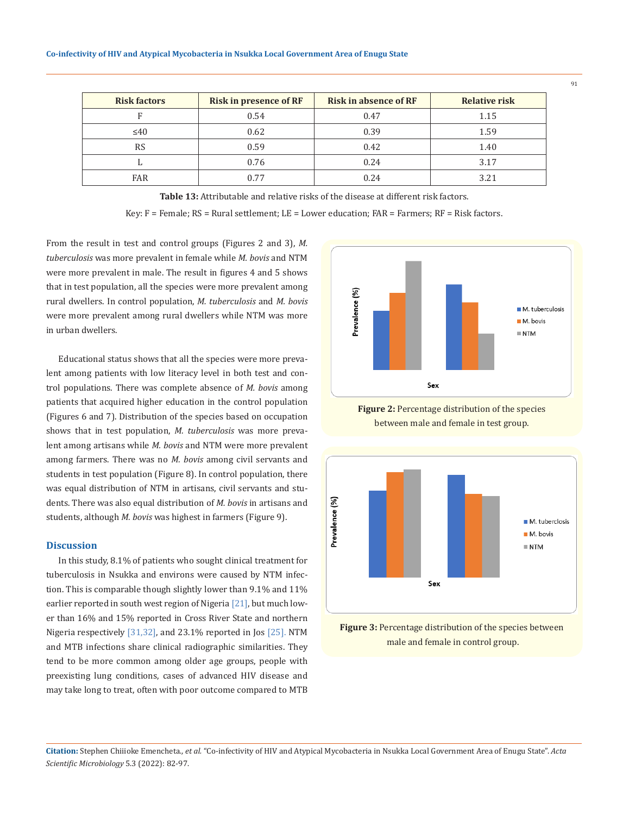| <b>Risk factors</b> | <b>Risk in presence of RF</b> | <b>Risk in absence of RF</b> | <b>Relative risk</b> |
|---------------------|-------------------------------|------------------------------|----------------------|
|                     | 0.54                          | 0.47                         | 1.15                 |
| $\leq 40$           | 0.62                          | 0.39                         | 1.59                 |
| <b>RS</b>           | 0.59                          | 0.42                         | 1.40                 |
|                     | 0.76                          | 0.24                         | 3.17                 |
| <b>FAR</b>          | 0.77                          | 0.24                         | 3.21                 |

**Table 13:** Attributable and relative risks of the disease at different risk factors.

Key:  $F =$  Female;  $RS =$  Rural settlement;  $LE =$  Lower education;  $FAR =$  Farmers;  $RF =$  Risk factors.

From the result in test and control groups (Figures 2 and 3), *M. tuberculosis* was more prevalent in female while *M. bovis* and NTM were more prevalent in male. The result in figures 4 and 5 shows that in test population, all the species were more prevalent among rural dwellers. In control population, *M. tuberculosis* and *M. bovis* were more prevalent among rural dwellers while NTM was more in urban dwellers.

Educational status shows that all the species were more prevalent among patients with low literacy level in both test and control populations. There was complete absence of *M. bovis* among patients that acquired higher education in the control population (Figures 6 and 7). Distribution of the species based on occupation shows that in test population, *M. tuberculosis* was more prevalent among artisans while *M. bovis* and NTM were more prevalent among farmers. There was no *M. bovis* among civil servants and students in test population (Figure 8). In control population, there was equal distribution of NTM in artisans, civil servants and students. There was also equal distribution of *M. bovis* in artisans and students, although *M. bovis* was highest in farmers (Figure 9).

#### **Discussion**

In this study, 8.1% of patients who sought clinical treatment for tuberculosis in Nsukka and environs were caused by NTM infection. This is comparable though slightly lower than 9.1% and 11% earlier reported in south west region of Nigeria [21], but much lower than 16% and 15% reported in Cross River State and northern Nigeria respectively [31,32], and 23.1% reported in Jos [25]. NTM and MTB infections share clinical radiographic similarities. They tend to be more common among older age groups, people with preexisting lung conditions, cases of advanced HIV disease and may take long to treat, often with poor outcome compared to MTB







**Figure 3:** Percentage distribution of the species between male and female in control group.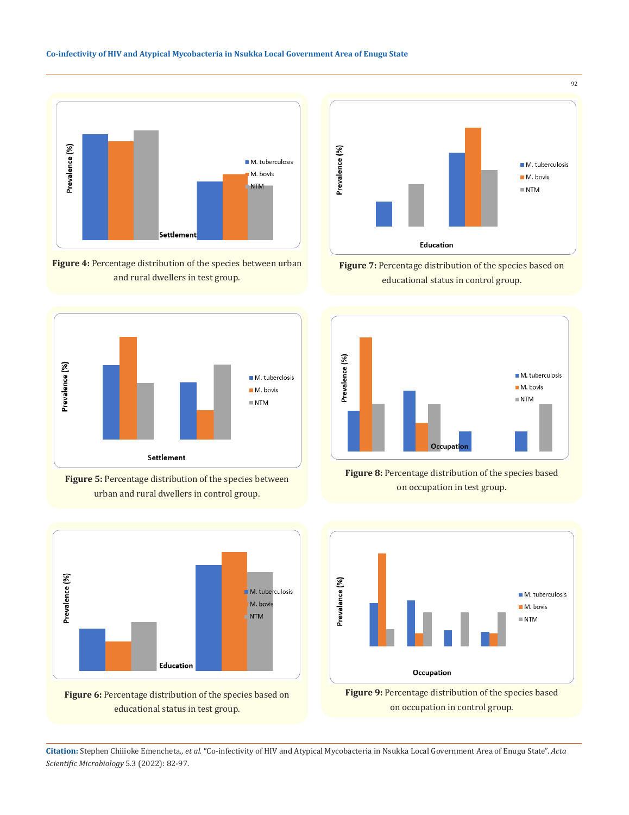

**Figure 4:** Percentage distribution of the species between urban and rural dwellers in test group.







Figure 6: Percentage distribution of the species based on educational status in test group.



**Figure 7:** Percentage distribution of the species based on educational status in control group.







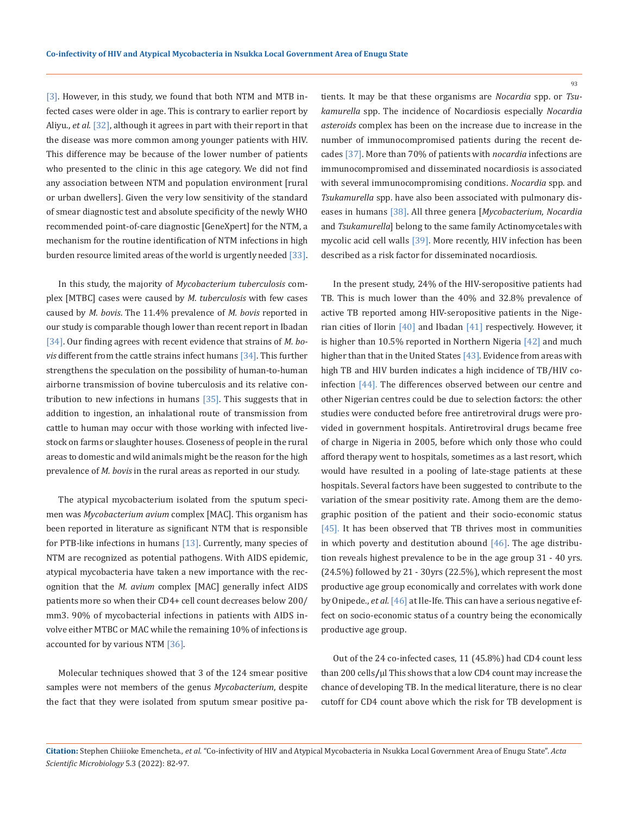[3]. However, in this study, we found that both NTM and MTB infected cases were older in age. This is contrary to earlier report by Aliyu., *et al.* [32], although it agrees in part with their report in that the disease was more common among younger patients with HIV. This difference may be because of the lower number of patients who presented to the clinic in this age category. We did not find any association between NTM and population environment [rural or urban dwellers]. Given the very low sensitivity of the standard of smear diagnostic test and absolute specificity of the newly WHO recommended point-of-care diagnostic [GeneXpert] for the NTM, a mechanism for the routine identification of NTM infections in high burden resource limited areas of the world is urgently needed [33].

In this study, the majority of *Mycobacterium tuberculosis* complex [MTBC] cases were caused by *M. tuberculosis* with few cases caused by *M. bovis*. The 11.4% prevalence of *M. bovis* reported in our study is comparable though lower than recent report in Ibadan [34]. Our finding agrees with recent evidence that strains of *M. bovis* different from the cattle strains infect humans [34]. This further strengthens the speculation on the possibility of human-to-human airborne transmission of bovine tuberculosis and its relative contribution to new infections in humans [35]. This suggests that in addition to ingestion, an inhalational route of transmission from cattle to human may occur with those working with infected livestock on farms or slaughter houses. Closeness of people in the rural areas to domestic and wild animals might be the reason for the high prevalence of *M. bovis* in the rural areas as reported in our study.

The atypical mycobacterium isolated from the sputum specimen was *Mycobacterium avium* complex [MAC]. This organism has been reported in literature as significant NTM that is responsible for PTB-like infections in humans [13]. Currently, many species of NTM are recognized as potential pathogens. With AIDS epidemic, atypical mycobacteria have taken a new importance with the recognition that the *M. avium* complex [MAC] generally infect AIDS patients more so when their CD4+ cell count decreases below 200/ mm3. 90% of mycobacterial infections in patients with AIDS involve either MTBC or MAC while the remaining 10% of infections is accounted for by various NTM [36].

Molecular techniques showed that 3 of the 124 smear positive samples were not members of the genus *Mycobacterium*, despite the fact that they were isolated from sputum smear positive patients. It may be that these organisms are *Nocardia* spp. or *Tsukamurella* spp. The incidence of Nocardiosis especially *Nocardia asteroids* complex has been on the increase due to increase in the number of immunocompromised patients during the recent decades [37]. More than 70% of patients with *nocardia* infections are immunocompromised and disseminated nocardiosis is associated with several immunocompromising conditions. *Nocardia* spp. and *Tsukamurella* spp. have also been associated with pulmonary diseases in humans [38]. All three genera [*Mycobacterium*, *Nocardia* and *Tsukamurella*] belong to the same family Actinomycetales with mycolic acid cell walls [39]. More recently, HIV infection has been described as a risk factor for disseminated nocardiosis.

In the present study, 24% of the HIV-seropositive patients had TB. This is much lower than the 40% and 32.8% prevalence of active TB reported among HIV-seropositive patients in the Nigerian cities of Ilorin [40] and Ibadan [41] respectively. However, it is higher than 10.5% reported in Northern Nigeria [42] and much higher than that in the United States [43]. Evidence from areas with high TB and HIV burden indicates a high incidence of TB/HIV coinfection [44]. The differences observed between our centre and other Nigerian centres could be due to selection factors: the other studies were conducted before free antiretroviral drugs were provided in government hospitals. Antiretroviral drugs became free of charge in Nigeria in 2005, before which only those who could afford therapy went to hospitals, sometimes as a last resort, which would have resulted in a pooling of late-stage patients at these hospitals. Several factors have been suggested to contribute to the variation of the smear positivity rate. Among them are the demographic position of the patient and their socio-economic status [45]. It has been observed that TB thrives most in communities in which poverty and destitution abound  $[46]$ . The age distribution reveals highest prevalence to be in the age group 31 - 40 yrs. (24.5%) followed by 21 - 30yrs (22.5%), which represent the most productive age group economically and correlates with work done by Onipede., *et al.* [46] at Ile-Ife. This can have a serious negative effect on socio-economic status of a country being the economically productive age group.

Out of the 24 co-infected cases, 11 (45.8%) had CD4 count less than 200 cells**/**μl This shows that a low CD4 count may increase the chance of developing TB. In the medical literature, there is no clear cutoff for CD4 count above which the risk for TB development is

**Citation:** Stephen Chiiioke Emencheta.*, et al.* "Co-infectivity of HIV and Atypical Mycobacteria in Nsukka Local Government Area of Enugu State". *Acta Scientific Microbiology* 5.3 (2022): 82-97.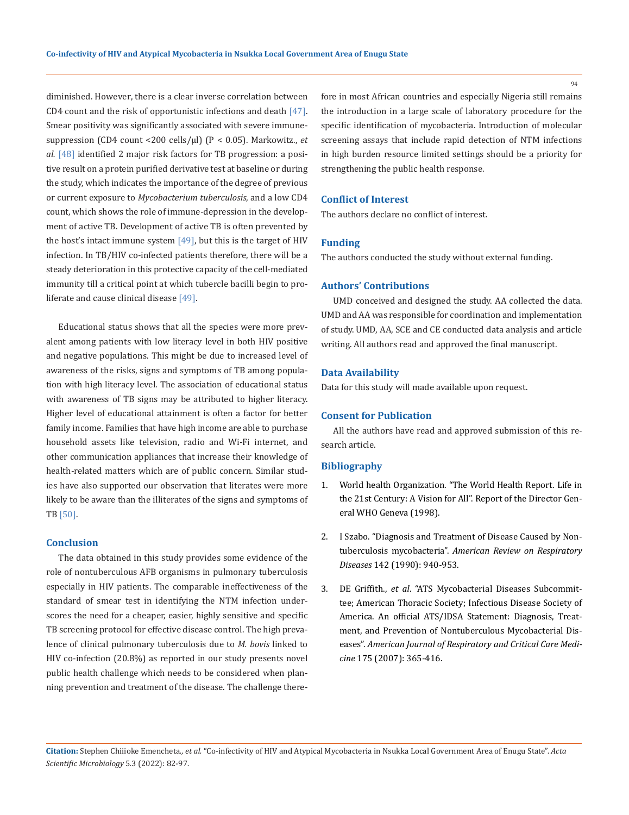diminished. However, there is a clear inverse correlation between CD4 count and the risk of opportunistic infections and death [47]. Smear positivity was significantly associated with severe immunesuppression (CD4 count <200 cells/µl) (P < 0.05). Markowitz., *et al.* [48] identified 2 major risk factors for TB progression: a positive result on a protein purified derivative test at baseline or during the study, which indicates the importance of the degree of previous or current exposure to *Mycobacterium tuberculosis*, and a low CD4 count, which shows the role of immune-depression in the development of active TB. Development of active TB is often prevented by the host's intact immune system  $[49]$ , but this is the target of HIV infection. In TB/HIV co-infected patients therefore, there will be a steady deterioration in this protective capacity of the cell-mediated immunity till a critical point at which tubercle bacilli begin to proliferate and cause clinical disease [49].

Educational status shows that all the species were more prevalent among patients with low literacy level in both HIV positive and negative populations. This might be due to increased level of awareness of the risks, signs and symptoms of TB among population with high literacy level. The association of educational status with awareness of TB signs may be attributed to higher literacy. Higher level of educational attainment is often a factor for better family income. Families that have high income are able to purchase household assets like television, radio and Wi-Fi internet, and other communication appliances that increase their knowledge of health-related matters which are of public concern. Similar studies have also supported our observation that literates were more likely to be aware than the illiterates of the signs and symptoms of TB [50].

#### **Conclusion**

The data obtained in this study provides some evidence of the role of nontuberculous AFB organisms in pulmonary tuberculosis especially in HIV patients. The comparable ineffectiveness of the standard of smear test in identifying the NTM infection underscores the need for a cheaper, easier, highly sensitive and specific TB screening protocol for effective disease control. The high prevalence of clinical pulmonary tuberculosis due to *M. bovis* linked to HIV co-infection (20.8%) as reported in our study presents novel public health challenge which needs to be considered when planning prevention and treatment of the disease. The challenge therefore in most African countries and especially Nigeria still remains the introduction in a large scale of laboratory procedure for the specific identification of mycobacteria. Introduction of molecular screening assays that include rapid detection of NTM infections in high burden resource limited settings should be a priority for strengthening the public health response.

### **Conflict of Interest**

The authors declare no conflict of interest.

#### **Funding**

The authors conducted the study without external funding.

#### **Authors' Contributions**

UMD conceived and designed the study. AA collected the data. UMD and AA was responsible for coordination and implementation of study. UMD, AA, SCE and CE conducted data analysis and article writing. All authors read and approved the final manuscript.

#### **Data Availability**

Data for this study will made available upon request.

#### **Consent for Publication**

All the authors have read and approved submission of this research article.

#### **Bibliography**

- 1. [World health Organization. "The World Health Report. Life in](https://www.who.int/whr/1998/en/whr98_en.pdf)  [the 21st Century: A Vision for All". Report of the Director Gen](https://www.who.int/whr/1998/en/whr98_en.pdf)[eral WHO Geneva \(1998\).](https://www.who.int/whr/1998/en/whr98_en.pdf)
- 2. [I Szabo. "Diagnosis and Treatment of Disease Caused by Non](https://pubmed.ncbi.nlm.nih.gov/9279284/)tuberculosis mycobacteria". *[American Review on Respiratory](https://pubmed.ncbi.nlm.nih.gov/9279284/) Diseases* [142 \(1990\): 940-953.](https://pubmed.ncbi.nlm.nih.gov/9279284/)
- 3. DE Griffith., *et al*[. "ATS Mycobacterial Diseases Subcommit](https://pubmed.ncbi.nlm.nih.gov/17277290/)[tee; American Thoracic Society; Infectious Disease Society of](https://pubmed.ncbi.nlm.nih.gov/17277290/) [America. An official ATS/IDSA Statement: Diagnosis, Treat](https://pubmed.ncbi.nlm.nih.gov/17277290/)[ment, and Prevention of Nontuberculous Mycobacterial Dis](https://pubmed.ncbi.nlm.nih.gov/17277290/)eases". *[American Journal of Respiratory and Critical Care Medi](https://pubmed.ncbi.nlm.nih.gov/17277290/)cine* [175 \(2007\): 365-416.](https://pubmed.ncbi.nlm.nih.gov/17277290/)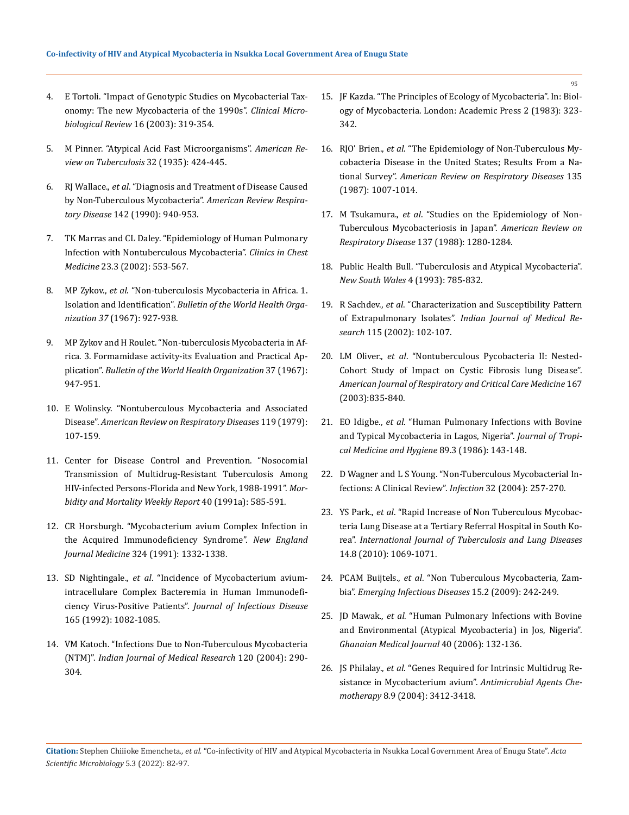- 4. [E Tortoli. "Impact of Genotypic Studies on Mycobacterial Tax](https://www.ncbi.nlm.nih.gov/pmc/articles/PMC153139/)[onomy: The new Mycobacteria of the 1990s".](https://www.ncbi.nlm.nih.gov/pmc/articles/PMC153139/) *Clinical Micro[biological Review](https://www.ncbi.nlm.nih.gov/pmc/articles/PMC153139/)* 16 (2003): 319-354.
- 5. [M Pinner. "Atypical Acid Fast Microorganisms".](https://pubmed.ncbi.nlm.nih.gov/14209529/) *American Re[view on Tuberculosis](https://pubmed.ncbi.nlm.nih.gov/14209529/)* 32 (1935): 424-445.
- 6. RJ Wallace., *et al*[. "Diagnosis and Treatment of Disease Caused](https://pubmed.ncbi.nlm.nih.gov/9279284/) [by Non-Tuberculous Mycobacteria".](https://pubmed.ncbi.nlm.nih.gov/9279284/) *American Review Respiratory Disease* [142 \(1990\): 940-953.](https://pubmed.ncbi.nlm.nih.gov/9279284/)
- 7. [TK Marras and CL Daley. "Epidemiology of Human Pulmonary](https://pubmed.ncbi.nlm.nih.gov/25676516/) [Infection with Nontuberculous Mycobacteria".](https://pubmed.ncbi.nlm.nih.gov/25676516/) *Clinics in Chest Medicine* [23.3 \(2002\): 553-567.](https://pubmed.ncbi.nlm.nih.gov/25676516/)
- 8. MP Zykov., *et al*[. "Non-tuberculosis Mycobacteria in Africa. 1.](https://pubmed.ncbi.nlm.nih.gov/4872712/) Isolation and Identification". *[Bulletin of the World Health Orga](https://pubmed.ncbi.nlm.nih.gov/4872712/)nization 37* [\(1967\): 927-938.](https://pubmed.ncbi.nlm.nih.gov/4872712/)
- 9. [MP Zykov and H Roulet. "Non-tuberculosis Mycobacteria in Af](https://www.ncbi.nlm.nih.gov/pmc/articles/PMC2554239/)[rica. 3. Formamidase activity-its Evaluation and Practical Ap](https://www.ncbi.nlm.nih.gov/pmc/articles/PMC2554239/)plication". *[Bulletin of the World Health Organization](https://www.ncbi.nlm.nih.gov/pmc/articles/PMC2554239/)* 37 (1967): [947-951.](https://www.ncbi.nlm.nih.gov/pmc/articles/PMC2554239/)
- 10. [E Wolinsky. "Nontuberculous Mycobacteria and Associated](https://pubmed.ncbi.nlm.nih.gov/369415/) Disease". *[American Review on Respiratory Diseases](https://pubmed.ncbi.nlm.nih.gov/369415/)* 119 (1979): [107-159.](https://pubmed.ncbi.nlm.nih.gov/369415/)
- 11. [Center for Disease Control and Prevention. "Nosocomial](https://pubmed.ncbi.nlm.nih.gov/1870559/) [Transmission of Multidrug-Resistant Tuberculosis Among](https://pubmed.ncbi.nlm.nih.gov/1870559/) [HIV-infected Persons-Florida and New York, 1988-1991".](https://pubmed.ncbi.nlm.nih.gov/1870559/) *Mor[bidity and Mortality Weekly Report](https://pubmed.ncbi.nlm.nih.gov/1870559/)* 40 (1991a): 585-591.
- 12. [CR Horsburgh. "Mycobacterium avium Complex Infection in](https://pubmed.ncbi.nlm.nih.gov/2017230/) [the Acquired Immunodeficiency Syndrome".](https://pubmed.ncbi.nlm.nih.gov/2017230/) *New England Journal Medicine* [324 \(1991\): 1332-1338.](https://pubmed.ncbi.nlm.nih.gov/2017230/)
- 13. SD Nightingale., *et al*[. "Incidence of Mycobacterium avium](https://academic.oup.com/jid/article-abstract/165/6/1082/1149149?redirectedFrom=fulltext)[intracellulare Complex Bacteremia in Human Immunodefi](https://academic.oup.com/jid/article-abstract/165/6/1082/1149149?redirectedFrom=fulltext)ciency Virus-Positive Patients". *[Journal of Infectious Disease](https://academic.oup.com/jid/article-abstract/165/6/1082/1149149?redirectedFrom=fulltext)* [165 \(1992\): 1082-1085.](https://academic.oup.com/jid/article-abstract/165/6/1082/1149149?redirectedFrom=fulltext)
- 14. [VM Katoch. "Infections Due to Non-Tuberculous Mycobacteria](https://pubmed.ncbi.nlm.nih.gov/15520483/) (NTM)". *[Indian Journal of Medical Research](https://pubmed.ncbi.nlm.nih.gov/15520483/)* 120 (2004): 290- [304.](https://pubmed.ncbi.nlm.nih.gov/15520483/)
- 15. JF Kazda. "The Principles of Ecology of Mycobacteria". In: Biology of Mycobacteria. London: Academic Press 2 (1983): 323- 342.
- 16. RJO' Brien., *et al*[. "The Epidemiology of Non-Tuberculous My](https://pubmed.ncbi.nlm.nih.gov/3579001/)[cobacteria Disease in the United States; Results From a Na](https://pubmed.ncbi.nlm.nih.gov/3579001/)tional Survey". *[American Review on Respiratory Diseases](https://pubmed.ncbi.nlm.nih.gov/3579001/)* 135 [\(1987\): 1007-1014.](https://pubmed.ncbi.nlm.nih.gov/3579001/)
- 17. M Tsukamura., *et al*[. "Studies on the Epidemiology of Non-](https://pubmed.ncbi.nlm.nih.gov/3202368/)[Tuberculous Mycobacteriosis in Japan".](https://pubmed.ncbi.nlm.nih.gov/3202368/) *American Review on Respiratory Disease* [137 \(1988\): 1280-1284.](https://pubmed.ncbi.nlm.nih.gov/3202368/)
- 18. Public Health Bull. "Tuberculosis and Atypical Mycobacteria". *New South Wales* 4 (1993): 785-832.
- 19. R Sachdev., *et al*[. "Characterization and Susceptibility Pattern](https://pubmed.ncbi.nlm.nih.gov/12201173/)  of Extrapulmonary Isolates". *[Indian Journal of Medical Re](https://pubmed.ncbi.nlm.nih.gov/12201173/)search* [115 \(2002\): 102-107.](https://pubmed.ncbi.nlm.nih.gov/12201173/)
- 20. LM Oliver., *et al*[. "Nontuberculous Pycobacteria II: Nested-](https://pubmed.ncbi.nlm.nih.gov/12433669/)[Cohort Study of Impact on Cystic Fibrosis lung Disease".](https://pubmed.ncbi.nlm.nih.gov/12433669/)  *[American Journal of Respiratory and Critical Care Medicine](https://pubmed.ncbi.nlm.nih.gov/12433669/)* 167 [\(2003\):835-840.](https://pubmed.ncbi.nlm.nih.gov/12433669/)
- 21. EO Idigbe., *et al*[. "Human Pulmonary Infections with Bovine](https://pubmed.ncbi.nlm.nih.gov/3534283/)  [and Typical Mycobacteria in Lagos, Nigeria".](https://pubmed.ncbi.nlm.nih.gov/3534283/) *Journal of Tropi[cal Medicine and Hygiene](https://pubmed.ncbi.nlm.nih.gov/3534283/)* 89.3 (1986): 143-148.
- 22. [D Wagner and L S Young. "Non-Tuberculous Mycobacterial In](https://pubmed.ncbi.nlm.nih.gov/15624889/)[fections: A Clinical Review".](https://pubmed.ncbi.nlm.nih.gov/15624889/) *Infection* 32 (2004): 257-270.
- 23. YS Park., *et al*[. "Rapid Increase of Non Tuberculous Mycobac](https://pubmed.ncbi.nlm.nih.gov/20626955/)[teria Lung Disease at a Tertiary Referral Hospital in South Ko](https://pubmed.ncbi.nlm.nih.gov/20626955/)rea". *[International Journal of Tuberculosis and Lung Diseases](https://pubmed.ncbi.nlm.nih.gov/20626955/)* [14.8 \(2010\): 1069-1071.](https://pubmed.ncbi.nlm.nih.gov/20626955/)
- 24. PCAM Buijtels., *et al*[. "Non Tuberculous Mycobacteria, Zam](https://www.ncbi.nlm.nih.gov/pmc/articles/PMC2657609/)bia". *[Emerging Infectious Diseases](https://www.ncbi.nlm.nih.gov/pmc/articles/PMC2657609/)* 15.2 (2009): 242-249.
- 25. JD Mawak., *et al*[. "Human Pulmonary Infections with Bovine](https://www.ncbi.nlm.nih.gov/pmc/articles/PMC1868006/)  [and Environmental \(Atypical Mycobacteria\) in Jos, Nigeria".](https://www.ncbi.nlm.nih.gov/pmc/articles/PMC1868006/)  *[Ghanaian Medical Journal](https://www.ncbi.nlm.nih.gov/pmc/articles/PMC1868006/)* 40 (2006): 132-136.
- 26. JS Philalay., *et al*[. "Genes Required for Intrinsic Multidrug Re](https://pubmed.ncbi.nlm.nih.gov/15328105/)[sistance in Mycobacterium avium".](https://pubmed.ncbi.nlm.nih.gov/15328105/) *Antimicrobial Agents Chemotherapy* [8.9 \(2004\): 3412-3418.](https://pubmed.ncbi.nlm.nih.gov/15328105/)

**Citation:** Stephen Chiiioke Emencheta.*, et al.* "Co-infectivity of HIV and Atypical Mycobacteria in Nsukka Local Government Area of Enugu State". *Acta Scientific Microbiology* 5.3 (2022): 82-97.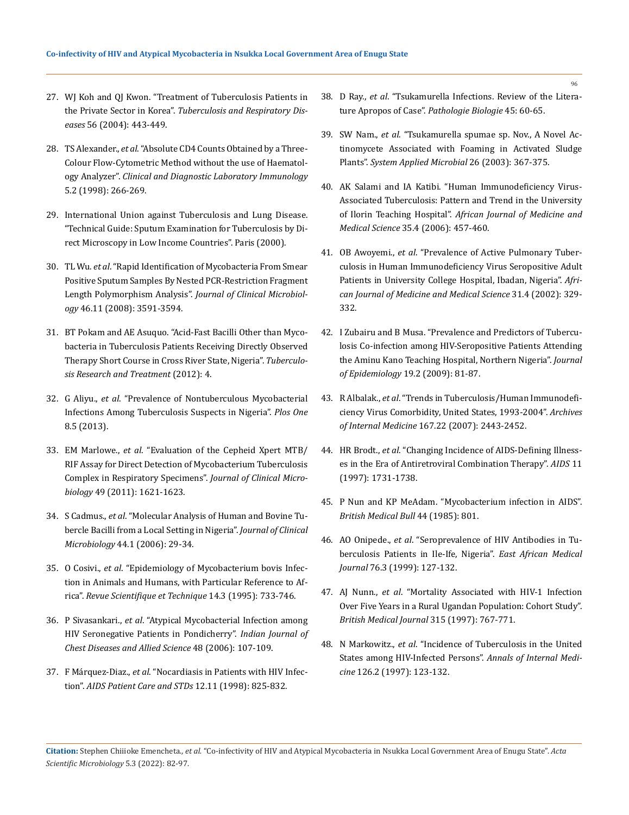- 27. [WJ Koh and QJ Kwon. "Treatment of Tuberculosis Patients in](https://synapse.koreamed.org/articles/1001586) the Private Sector in Korea". *[Tuberculosis and Respiratory Dis](https://synapse.koreamed.org/articles/1001586)eases* [56 \(2004\): 443-449.](https://synapse.koreamed.org/articles/1001586)
- 28. TS Alexander., *et al*[. "Absolute CD4 Counts Obtained by a Three-](https://pubmed.ncbi.nlm.nih.gov/9521157/)[Colour Flow-Cytometric Method without the use of Haematol](https://pubmed.ncbi.nlm.nih.gov/9521157/)ogy Analyzer". *[Clinical and Diagnostic Laboratory Immunology](https://pubmed.ncbi.nlm.nih.gov/9521157/)* [5.2 \(1998\): 266-269.](https://pubmed.ncbi.nlm.nih.gov/9521157/)
- 29. International Union against Tuberculosis and Lung Disease. "Technical Guide: Sputum Examination for Tuberculosis by Direct Microscopy in Low Income Countries". Paris (2000).
- 30. TL Wu. *et al*[. "Rapid Identification of Mycobacteria From Smear](https://pubmed.ncbi.nlm.nih.gov/18768657/) [Positive Sputum Samples By Nested PCR-Restriction Fragment](https://pubmed.ncbi.nlm.nih.gov/18768657/) [Length Polymorphism Analysis".](https://pubmed.ncbi.nlm.nih.gov/18768657/) *Journal of Clinical Microbiology* [46.11 \(2008\): 3591-3594.](https://pubmed.ncbi.nlm.nih.gov/18768657/)
- 31. [BT Pokam and AE Asuquo. "Acid-Fast Bacilli Other than Myco](https://www.hindawi.com/journals/trt/2012/301056/)[bacteria in Tuberculosis Patients Receiving Directly Observed](https://www.hindawi.com/journals/trt/2012/301056/) [Therapy Short Course in Cross River State, Nigeria".](https://www.hindawi.com/journals/trt/2012/301056/) *Tuberculo[sis Research and Treatment](https://www.hindawi.com/journals/trt/2012/301056/)* (2012): 4.
- 32. G Aliyu., *et al*[. "Prevalence of Nontuberculous Mycobacterial](https://www.ncbi.nlm.nih.gov/pmc/articles/PMC3650061/) [Infections Among Tuberculosis Suspects in Nigeria".](https://www.ncbi.nlm.nih.gov/pmc/articles/PMC3650061/) *Plos One* [8.5 \(2013\).](https://www.ncbi.nlm.nih.gov/pmc/articles/PMC3650061/)
- 33. EM Marlowe., *et al*[. "Evaluation of the Cepheid Xpert MTB/](https://pubmed.ncbi.nlm.nih.gov/21289151/) [RIF Assay for Direct Detection of Mycobacterium Tuberculosis](https://pubmed.ncbi.nlm.nih.gov/21289151/) [Complex in Respiratory Specimens".](https://pubmed.ncbi.nlm.nih.gov/21289151/) *Journal of Clinical Microbiology* [49 \(2011\): 1621-1623.](https://pubmed.ncbi.nlm.nih.gov/21289151/)
- 34. S Cadmus., *et al*[. "Molecular Analysis of Human and Bovine Tu](https://www.ncbi.nlm.nih.gov/pmc/articles/PMC1351927/)[bercle Bacilli from a Local Setting in Nigeria".](https://www.ncbi.nlm.nih.gov/pmc/articles/PMC1351927/) *Journal of Clinical Microbiology* [44.1 \(2006\): 29-34.](https://www.ncbi.nlm.nih.gov/pmc/articles/PMC1351927/)
- 35. O Cosivi., *et al*[. "Epidemiology of Mycobacterium bovis Infec](https://pubmed.ncbi.nlm.nih.gov/8593405/)[tion in Animals and Humans, with Particular Reference to Af](https://pubmed.ncbi.nlm.nih.gov/8593405/)rica". *[Revue Scientifique et Technique](https://pubmed.ncbi.nlm.nih.gov/8593405/)* 14.3 (1995): 733-746.
- 36. P Sivasankari., *et al*[. "Atypical Mycobacterial Infection among](https://pubmed.ncbi.nlm.nih.gov/16696524/) [HIV Seronegative Patients in Pondicherry".](https://pubmed.ncbi.nlm.nih.gov/16696524/) *Indian Journal of [Chest Diseases and Allied Science](https://pubmed.ncbi.nlm.nih.gov/16696524/)* 48 (2006): 107-109.
- 37. F Márquez-Diaz., *et al*[. "Nocardiasis in Patients with HIV Infec](https://pubmed.ncbi.nlm.nih.gov/11362038/)tion". *[AIDS Patient Care and STDs](https://pubmed.ncbi.nlm.nih.gov/11362038/)* 12.11 (1998): 825-832.
- 38. D Ray., *et al*[. "Tsukamurella Infections. Review of the Litera](https://pubmed.ncbi.nlm.nih.gov/9097849/)[ture Apropos of Case".](https://pubmed.ncbi.nlm.nih.gov/9097849/) *Pathologie Biologie* 45: 60-65.
- 39. SW Nam., *et al*[. "Tsukamurella spumae sp. Nov., A Novel Ac](https://pubmed.ncbi.nlm.nih.gov/14529179/)[tinomycete Associated with Foaming in Activated Sludge](https://pubmed.ncbi.nlm.nih.gov/14529179/)  Plants". *[System Applied Microbial](https://pubmed.ncbi.nlm.nih.gov/14529179/)* 26 (2003): 367-375.
- 40. [AK Salami and IA Katibi. "Human Immunodeficiency Virus-](https://pubmed.ncbi.nlm.nih.gov/17722813/)[Associated Tuberculosis: Pattern and Trend in the University](https://pubmed.ncbi.nlm.nih.gov/17722813/) of Ilorin Teaching Hospital". *[African Journal of Medicine and](https://pubmed.ncbi.nlm.nih.gov/17722813/)  Medical Science* [35.4 \(2006\): 457-460.](https://pubmed.ncbi.nlm.nih.gov/17722813/)
- 41. OB Awoyemi., *et al*[. "Prevalence of Active Pulmonary Tuber](https://pubmed.ncbi.nlm.nih.gov/15027773/)[culosis in Human Immunodeficiency Virus Seropositive Adult](https://pubmed.ncbi.nlm.nih.gov/15027773/)  [Patients in University College Hospital, Ibadan, Nigeria".](https://pubmed.ncbi.nlm.nih.gov/15027773/) *Afri[can Journal of Medicine and Medical Science](https://pubmed.ncbi.nlm.nih.gov/15027773/)* 31.4 (2002): 329- [332.](https://pubmed.ncbi.nlm.nih.gov/15027773/)
- 42. [I Zubairu and B Musa. "Prevalence and Predictors of Tubercu](https://pubmed.ncbi.nlm.nih.gov/19265273/)[losis Co-infection among HIV-Seropositive Patients Attending](https://pubmed.ncbi.nlm.nih.gov/19265273/) [the Aminu Kano Teaching Hospital, Northern Nigeria".](https://pubmed.ncbi.nlm.nih.gov/19265273/) *Journal of Epidemiology* [19.2 \(2009\): 81-87.](https://pubmed.ncbi.nlm.nih.gov/19265273/)
- 43. R Albalak., *et al*[. "Trends in Tuberculosis/Human Immunodefi](https://jamanetwork.com/abusenotice)[ciency Virus Comorbidity, United States, 1993-2004".](https://jamanetwork.com/abusenotice) *Archives of Internal Medicine* [167.22 \(2007\): 2443-2452.](https://jamanetwork.com/abusenotice)
- 44. HR Brodt., *et al*[. "Changing Incidence of AIDS-Defining Illness](https://pubmed.ncbi.nlm.nih.gov/9386808/)[es in the Era of Antiretroviral Combination Therapy".](https://pubmed.ncbi.nlm.nih.gov/9386808/) *AIDS* 11 [\(1997\): 1731-1738.](https://pubmed.ncbi.nlm.nih.gov/9386808/)
- 45. [P Nun and KP MeAdam. "Mycobacterium infection in AIDS".](https://www.ncbi.nlm.nih.gov/pmc/articles/PMC3307397/)  *[British Medical Bull](https://www.ncbi.nlm.nih.gov/pmc/articles/PMC3307397/)* 44 (1985): 801.
- 46. AO Onipede., *et al*[. "Seroprevalence of HIV Antibodies in Tu](https://europepmc.org/article/MED/10442110)[berculosis Patients in Ile-Ife, Nigeria".](https://europepmc.org/article/MED/10442110) *East African Medical Journal* [76.3 \(1999\): 127-132.](https://europepmc.org/article/MED/10442110)
- 47. AJ Nunn., *et al*[. "Mortality Associated with HIV-1 Infection](https://www.ncbi.nlm.nih.gov/pmc/articles/PMC2127535/) [Over Five Years in a Rural Ugandan Population: Cohort Study".](https://www.ncbi.nlm.nih.gov/pmc/articles/PMC2127535/)  *[British Medical Journal](https://www.ncbi.nlm.nih.gov/pmc/articles/PMC2127535/)* 315 (1997): 767-771.
- 48. N Markowitz., *et al*[. "Incidence of Tuberculosis in the United](https://pubmed.ncbi.nlm.nih.gov/9005746/) [States among HIV-Infected Persons".](https://pubmed.ncbi.nlm.nih.gov/9005746/) *Annals of Internal Medicine* [126.2 \(1997\): 123-132.](https://pubmed.ncbi.nlm.nih.gov/9005746/)

**Citation:** Stephen Chiiioke Emencheta.*, et al.* "Co-infectivity of HIV and Atypical Mycobacteria in Nsukka Local Government Area of Enugu State". *Acta Scientific Microbiology* 5.3 (2022): 82-97.